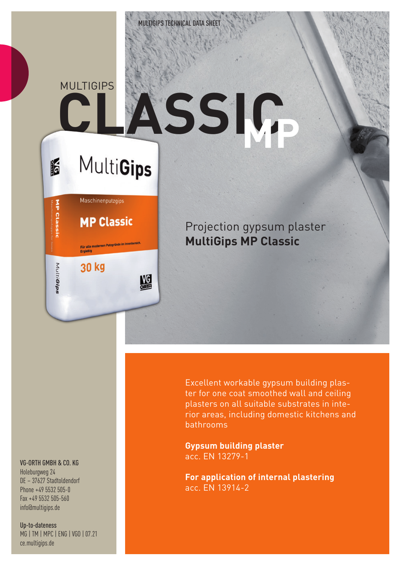## **CLASSIC** MULTIGIPS **MP**

# **MultiGips**

Maschinenputzgips

**MP Classic** 

.<br>Für alle modernen Putzgründe im Innenbereich<br>Ergiebig

盟

30 kg

IF

MP Classic

MultiGips

Projection gypsum plaster **MultiGips MP Classic**

VG-ORTH GMBH & CO. KG

Holeburgweg 24 DE – 37627 Stadtoldendorf Phone +49 5532 505-0 Fax +49 5532 505-560 info@multigips.de

Up-to-dateness MG | TM | MPC | ENG | VGO | 07.21 ce.multigips.de

Excellent workable gypsum building plaster for one coat smoothed wall and ceiling plasters on all suitable substrates in interior areas, including domestic kitchens and bathrooms

**Gypsum building plaster** acc. EN 13279-1

**For application of internal plastering** acc. EN 13914-2